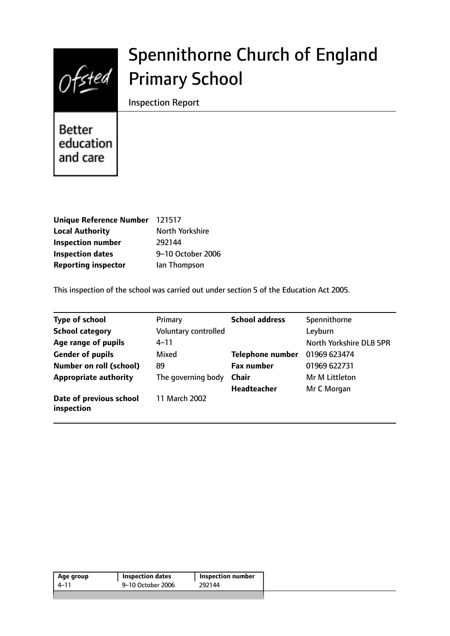

# Spennithorne Church of England Primary School

Inspection Report

**Better** education and care

| Unique Reference Number 121517 |                   |
|--------------------------------|-------------------|
| <b>Local Authority</b>         | North Yorkshire   |
| <b>Inspection number</b>       | 292144            |
| <b>Inspection dates</b>        | 9-10 October 2006 |
| <b>Reporting inspector</b>     | lan Thompson      |

This inspection of the school was carried out under section 5 of the Education Act 2005.

| <b>Type of school</b>                 | Primary              | <b>School address</b>   | Spennithorne            |
|---------------------------------------|----------------------|-------------------------|-------------------------|
| <b>School category</b>                | Voluntary controlled |                         | Leyburn                 |
| Age range of pupils                   | $4 - 11$             |                         | North Yorkshire DL8 5PR |
| <b>Gender of pupils</b>               | Mixed                | <b>Telephone number</b> | 01969 623474            |
| <b>Number on roll (school)</b>        | 89                   | <b>Fax number</b>       | 01969 622731            |
| <b>Appropriate authority</b>          | The governing body   | Chair                   | Mr M Littleton          |
|                                       |                      | <b>Headteacher</b>      | Mr C Morgan             |
| Date of previous school<br>inspection | 11 March 2002        |                         |                         |

| 9–10 October 2006<br>292144<br>4–11 | Age group | <b>Inspection dates</b> | <b>Inspection number</b> |
|-------------------------------------|-----------|-------------------------|--------------------------|
|                                     |           |                         |                          |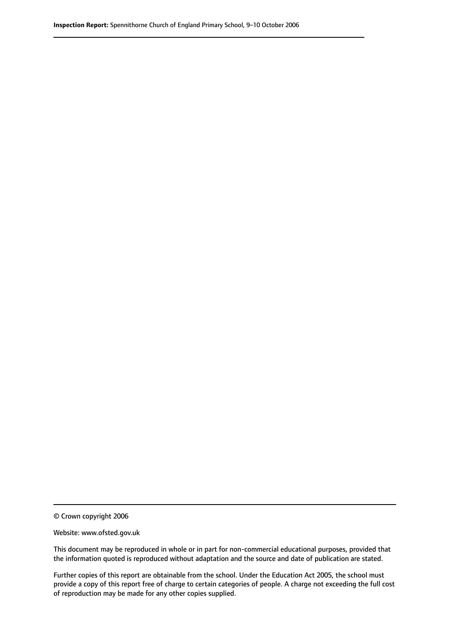© Crown copyright 2006

Website: www.ofsted.gov.uk

This document may be reproduced in whole or in part for non-commercial educational purposes, provided that the information quoted is reproduced without adaptation and the source and date of publication are stated.

Further copies of this report are obtainable from the school. Under the Education Act 2005, the school must provide a copy of this report free of charge to certain categories of people. A charge not exceeding the full cost of reproduction may be made for any other copies supplied.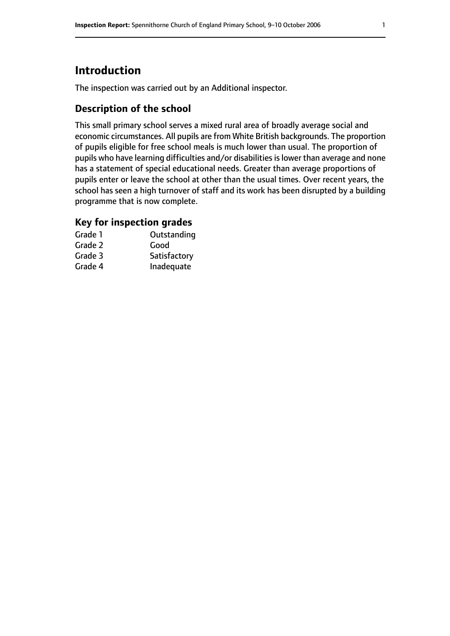# **Introduction**

The inspection was carried out by an Additional inspector.

## **Description of the school**

This small primary school serves a mixed rural area of broadly average social and economic circumstances. All pupils are from White British backgrounds. The proportion of pupils eligible for free school meals is much lower than usual. The proportion of pupils who have learning difficulties and/or disabilities is lower than average and none has a statement of special educational needs. Greater than average proportions of pupils enter or leave the school at other than the usual times. Over recent years, the school has seen a high turnover of staff and its work has been disrupted by a building programme that is now complete.

## **Key for inspection grades**

| Grade 1 | Outstanding  |
|---------|--------------|
| Grade 2 | Good         |
| Grade 3 | Satisfactory |
| Grade 4 | Inadequate   |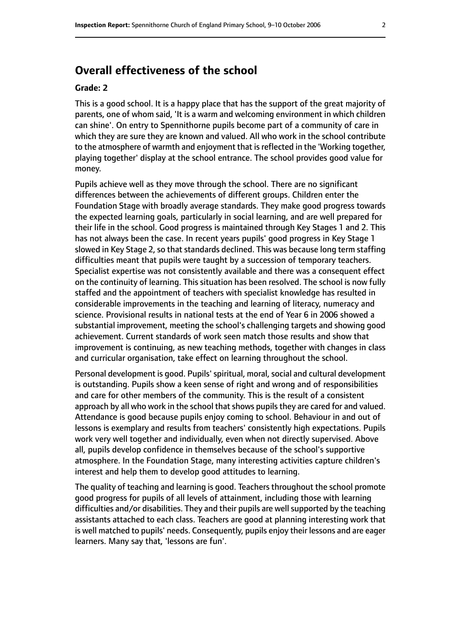# **Overall effectiveness of the school**

#### **Grade: 2**

This is a good school. It is a happy place that has the support of the great majority of parents, one of whom said, 'It is a warm and welcoming environment in which children can shine'. On entry to Spennithorne pupils become part of a community of care in which they are sure they are known and valued. All who work in the school contribute to the atmosphere of warmth and enjoyment that is reflected in the 'Working together, playing together' display at the school entrance. The school provides good value for money.

Pupils achieve well as they move through the school. There are no significant differences between the achievements of different groups. Children enter the Foundation Stage with broadly average standards. They make good progress towards the expected learning goals, particularly in social learning, and are well prepared for their life in the school. Good progress is maintained through Key Stages 1 and 2. This has not always been the case. In recent years pupils' good progress in Key Stage 1 slowed in Key Stage 2, so that standards declined. This was because long term staffing difficulties meant that pupils were taught by a succession of temporary teachers. Specialist expertise was not consistently available and there was a consequent effect on the continuity of learning. This situation has been resolved. The school is now fully staffed and the appointment of teachers with specialist knowledge has resulted in considerable improvements in the teaching and learning of literacy, numeracy and science. Provisional results in national tests at the end of Year 6 in 2006 showed a substantial improvement, meeting the school's challenging targets and showing good achievement. Current standards of work seen match those results and show that improvement is continuing, as new teaching methods, together with changes in class and curricular organisation, take effect on learning throughout the school.

Personal development is good. Pupils' spiritual, moral, social and cultural development is outstanding. Pupils show a keen sense of right and wrong and of responsibilities and care for other members of the community. This is the result of a consistent approach by all who work in the school that shows pupils they are cared for and valued. Attendance is good because pupils enjoy coming to school. Behaviour in and out of lessons is exemplary and results from teachers' consistently high expectations. Pupils work very well together and individually, even when not directly supervised. Above all, pupils develop confidence in themselves because of the school's supportive atmosphere. In the Foundation Stage, many interesting activities capture children's interest and help them to develop good attitudes to learning.

The quality of teaching and learning is good. Teachers throughout the school promote good progress for pupils of all levels of attainment, including those with learning difficulties and/or disabilities. They and their pupils are well supported by the teaching assistants attached to each class. Teachers are good at planning interesting work that is well matched to pupils' needs. Consequently, pupils enjoy their lessons and are eager learners. Many say that, 'lessons are fun'.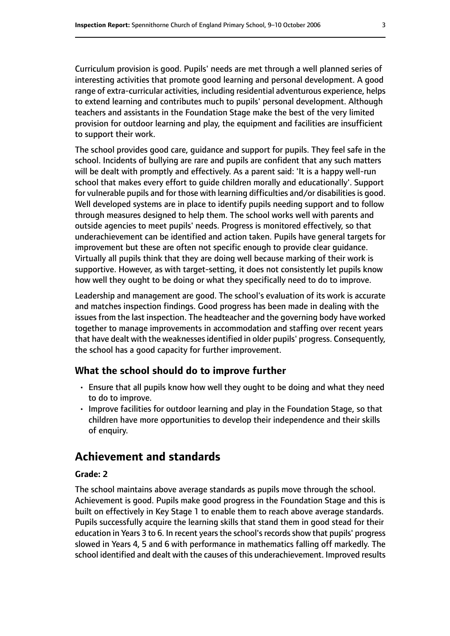Curriculum provision is good. Pupils' needs are met through a well planned series of interesting activities that promote good learning and personal development. A good range of extra-curricular activities, including residential adventurous experience, helps to extend learning and contributes much to pupils' personal development. Although teachers and assistants in the Foundation Stage make the best of the very limited provision for outdoor learning and play, the equipment and facilities are insufficient to support their work.

The school provides good care, guidance and support for pupils. They feel safe in the school. Incidents of bullying are rare and pupils are confident that any such matters will be dealt with promptly and effectively. As a parent said: 'It is a happy well-run school that makes every effort to guide children morally and educationally'. Support for vulnerable pupils and for those with learning difficulties and/or disabilities is good. Well developed systems are in place to identify pupils needing support and to follow through measures designed to help them. The school works well with parents and outside agencies to meet pupils' needs. Progress is monitored effectively, so that underachievement can be identified and action taken. Pupils have general targets for improvement but these are often not specific enough to provide clear guidance. Virtually all pupils think that they are doing well because marking of their work is supportive. However, as with target-setting, it does not consistently let pupils know how well they ought to be doing or what they specifically need to do to improve.

Leadership and management are good. The school's evaluation of its work is accurate and matches inspection findings. Good progress has been made in dealing with the issues from the last inspection. The headteacher and the governing body have worked together to manage improvements in accommodation and staffing over recent years that have dealt with the weaknessesidentified in older pupils' progress. Consequently, the school has a good capacity for further improvement.

#### **What the school should do to improve further**

- Ensure that all pupils know how well they ought to be doing and what they need to do to improve.
- Improve facilities for outdoor learning and play in the Foundation Stage, so that children have more opportunities to develop their independence and their skills of enquiry.

# **Achievement and standards**

#### **Grade: 2**

The school maintains above average standards as pupils move through the school. Achievement is good. Pupils make good progress in the Foundation Stage and this is built on effectively in Key Stage 1 to enable them to reach above average standards. Pupils successfully acquire the learning skills that stand them in good stead for their education in Years 3 to 6. In recent years the school's records show that pupils' progress slowed in Years 4, 5 and 6 with performance in mathematics falling off markedly. The school identified and dealt with the causes of this underachievement. Improved results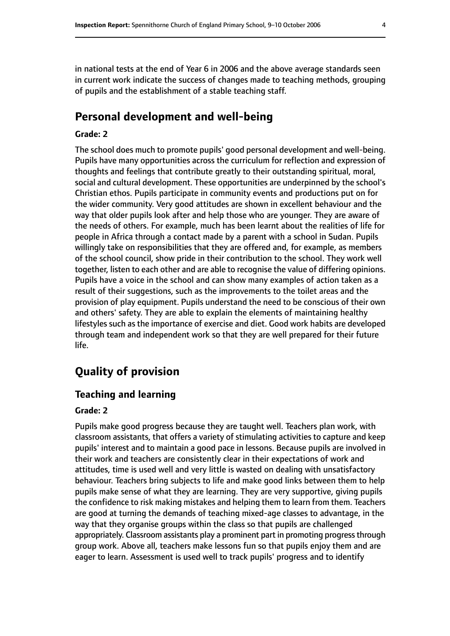in national tests at the end of Year 6 in 2006 and the above average standards seen in current work indicate the success of changes made to teaching methods, grouping of pupils and the establishment of a stable teaching staff.

## **Personal development and well-being**

#### **Grade: 2**

The school does much to promote pupils' good personal development and well-being. Pupils have many opportunities across the curriculum for reflection and expression of thoughts and feelings that contribute greatly to their outstanding spiritual, moral, social and cultural development. These opportunities are underpinned by the school's Christian ethos. Pupils participate in community events and productions put on for the wider community. Very good attitudes are shown in excellent behaviour and the way that older pupils look after and help those who are younger. They are aware of the needs of others. For example, much has been learnt about the realities of life for people in Africa through a contact made by a parent with a school in Sudan. Pupils willingly take on responsibilities that they are offered and, for example, as members of the school council, show pride in their contribution to the school. They work well together, listen to each other and are able to recognise the value of differing opinions. Pupils have a voice in the school and can show many examples of action taken as a result of their suggestions, such as the improvements to the toilet areas and the provision of play equipment. Pupils understand the need to be conscious of their own and others' safety. They are able to explain the elements of maintaining healthy lifestyles such as the importance of exercise and diet. Good work habits are developed through team and independent work so that they are well prepared for their future life.

# **Quality of provision**

#### **Teaching and learning**

#### **Grade: 2**

Pupils make good progress because they are taught well. Teachers plan work, with classroom assistants, that offers a variety of stimulating activities to capture and keep pupils' interest and to maintain a good pace in lessons. Because pupils are involved in their work and teachers are consistently clear in their expectations of work and attitudes, time is used well and very little is wasted on dealing with unsatisfactory behaviour. Teachers bring subjects to life and make good links between them to help pupils make sense of what they are learning. They are very supportive, giving pupils the confidence to risk making mistakes and helping them to learn from them. Teachers are good at turning the demands of teaching mixed-age classes to advantage, in the way that they organise groups within the class so that pupils are challenged appropriately. Classroom assistants play a prominent part in promoting progress through group work. Above all, teachers make lessons fun so that pupils enjoy them and are eager to learn. Assessment is used well to track pupils' progress and to identify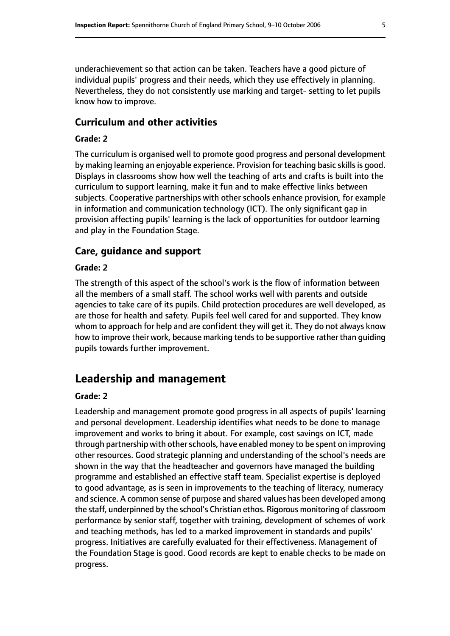underachievement so that action can be taken. Teachers have a good picture of individual pupils' progress and their needs, which they use effectively in planning. Nevertheless, they do not consistently use marking and target- setting to let pupils know how to improve.

#### **Curriculum and other activities**

#### **Grade: 2**

The curriculum is organised well to promote good progress and personal development by making learning an enjoyable experience. Provision for teaching basic skills is good. Displays in classrooms show how well the teaching of arts and crafts is built into the curriculum to support learning, make it fun and to make effective links between subjects. Cooperative partnerships with other schools enhance provision, for example in information and communication technology (ICT). The only significant gap in provision affecting pupils' learning is the lack of opportunities for outdoor learning and play in the Foundation Stage.

## **Care, guidance and support**

#### **Grade: 2**

The strength of this aspect of the school's work is the flow of information between all the members of a small staff. The school works well with parents and outside agencies to take care of its pupils. Child protection procedures are well developed, as are those for health and safety. Pupils feel well cared for and supported. They know whom to approach for help and are confident they will get it. They do not always know how to improve their work, because marking tends to be supportive rather than guiding pupils towards further improvement.

## **Leadership and management**

#### **Grade: 2**

Leadership and management promote good progress in all aspects of pupils' learning and personal development. Leadership identifies what needs to be done to manage improvement and works to bring it about. For example, cost savings on ICT, made through partnership with other schools, have enabled money to be spent on improving other resources. Good strategic planning and understanding of the school's needs are shown in the way that the headteacher and governors have managed the building programme and established an effective staff team. Specialist expertise is deployed to good advantage, as is seen in improvements to the teaching of literacy, numeracy and science. A common sense of purpose and shared values has been developed among the staff, underpinned by the school's Christian ethos. Rigorous monitoring of classroom performance by senior staff, together with training, development of schemes of work and teaching methods, has led to a marked improvement in standards and pupils' progress. Initiatives are carefully evaluated for their effectiveness. Management of the Foundation Stage is good. Good records are kept to enable checks to be made on progress.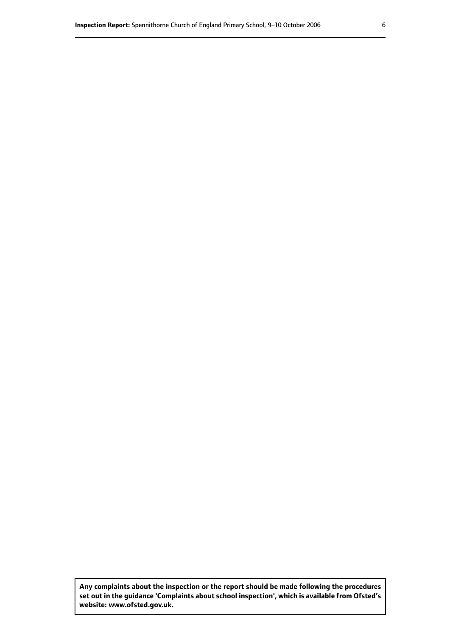**Any complaints about the inspection or the report should be made following the procedures set out inthe guidance 'Complaints about school inspection', whichis available from Ofsted's website: www.ofsted.gov.uk.**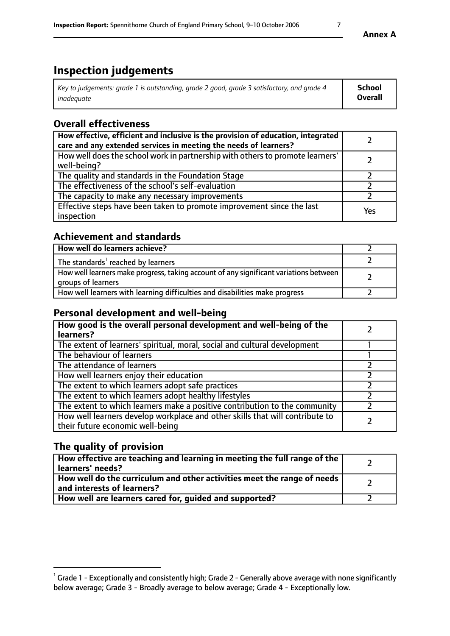# **Inspection judgements**

| Key to judgements: grade 1 is outstanding, grade 2 good, grade 3 satisfactory, and grade 4 | School  |
|--------------------------------------------------------------------------------------------|---------|
| inadeauate                                                                                 | Overall |

# **Overall effectiveness**

| How effective, efficient and inclusive is the provision of education, integrated<br>care and any extended services in meeting the needs of learners? |     |
|------------------------------------------------------------------------------------------------------------------------------------------------------|-----|
| How well does the school work in partnership with others to promote learners'<br>well-being?                                                         |     |
| The quality and standards in the Foundation Stage                                                                                                    |     |
| The effectiveness of the school's self-evaluation                                                                                                    |     |
| The capacity to make any necessary improvements                                                                                                      |     |
| Effective steps have been taken to promote improvement since the last<br>inspection                                                                  | Yes |

# **Achievement and standards**

| How well do learners achieve?                                                                               |  |
|-------------------------------------------------------------------------------------------------------------|--|
| The standards <sup>1</sup> reached by learners                                                              |  |
| How well learners make progress, taking account of any significant variations between<br>groups of learners |  |
| How well learners with learning difficulties and disabilities make progress                                 |  |

# **Personal development and well-being**

| How good is the overall personal development and well-being of the<br>learners?                                  |  |
|------------------------------------------------------------------------------------------------------------------|--|
| The extent of learners' spiritual, moral, social and cultural development                                        |  |
| The behaviour of learners                                                                                        |  |
| The attendance of learners                                                                                       |  |
| How well learners enjoy their education                                                                          |  |
| The extent to which learners adopt safe practices                                                                |  |
| The extent to which learners adopt healthy lifestyles                                                            |  |
| The extent to which learners make a positive contribution to the community                                       |  |
| How well learners develop workplace and other skills that will contribute to<br>their future economic well-being |  |

# **The quality of provision**

| How effective are teaching and learning in meeting the full range of the<br>learners' needs?          |  |
|-------------------------------------------------------------------------------------------------------|--|
| How well do the curriculum and other activities meet the range of needs<br>and interests of learners? |  |
| How well are learners cared for, guided and supported?                                                |  |

 $^1$  Grade 1 - Exceptionally and consistently high; Grade 2 - Generally above average with none significantly below average; Grade 3 - Broadly average to below average; Grade 4 - Exceptionally low.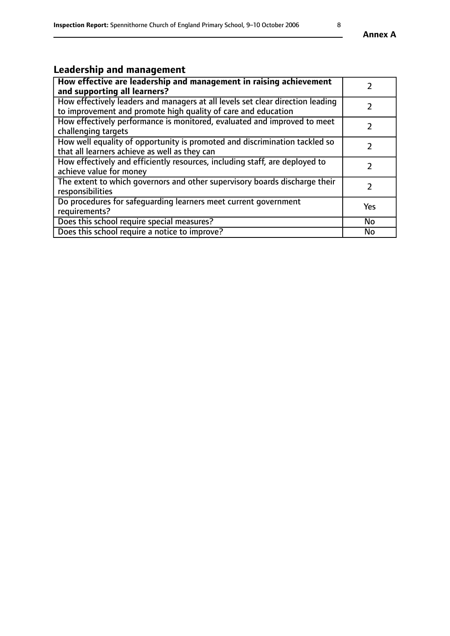# **Leadership and management**

| How effective are leadership and management in raising achievement<br>and supporting all learners?                                              |               |
|-------------------------------------------------------------------------------------------------------------------------------------------------|---------------|
| How effectively leaders and managers at all levels set clear direction leading<br>to improvement and promote high quality of care and education |               |
| How effectively performance is monitored, evaluated and improved to meet<br>challenging targets                                                 |               |
| How well equality of opportunity is promoted and discrimination tackled so<br>that all learners achieve as well as they can                     |               |
| How effectively and efficiently resources, including staff, are deployed to<br>achieve value for money                                          | $\mathcal{P}$ |
| The extent to which governors and other supervisory boards discharge their<br>responsibilities                                                  |               |
| Do procedures for safequarding learners meet current government<br>requirements?                                                                | Yes           |
| Does this school require special measures?                                                                                                      | No            |
| Does this school require a notice to improve?                                                                                                   | <b>No</b>     |